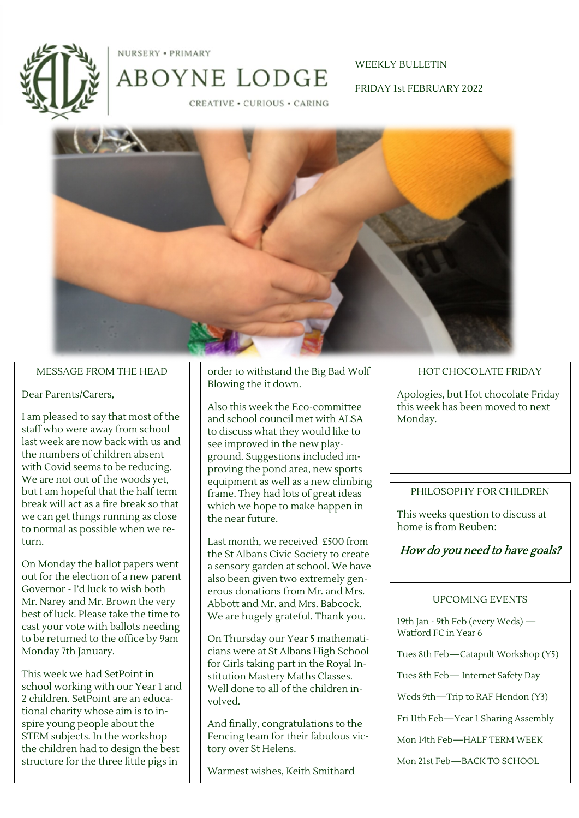

NURSERY . PRIMARY

# WEEKLY BULLETIN

FRIDAY 1st FEBRUARY 2022

**CREATIVE · CURIOUS · CARING** 



#### MESSAGE FROM THE HEAD

#### Dear Parents/Carers,

I am pleased to say that most of the staff who were away from school last week are now back with us and the numbers of children absent with Covid seems to be reducing. We are not out of the woods yet, but I am hopeful that the half term break will act as a fire break so that we can get things running as close to normal as possible when we return.

On Monday the ballot papers went out for the election of a new parent Governor - I'd luck to wish both Mr. Narey and Mr. Brown the very best of luck. Please take the time to cast your vote with ballots needing to be returned to the office by 9am Monday 7th January.

This week we had SetPoint in school working with our Year 1 and 2 children. SetPoint are an educational charity whose aim is to inspire young people about the STEM subjects. In the workshop the children had to design the best structure for the three little pigs in

order to withstand the Big Bad Wolf Blowing the it down.

Also this week the Eco-committee and school council met with ALSA to discuss what they would like to see improved in the new playground. Suggestions included improving the pond area, new sports equipment as well as a new climbing frame. They had lots of great ideas which we hope to make happen in the near future.

Last month, we received £500 from the St Albans Civic Society to create a sensory garden at school. We have also been given two extremely generous donations from Mr. and Mrs. Abbott and Mr. and Mrs. Babcock. We are hugely grateful. Thank you.

On Thursday our Year 5 mathematicians were at St Albans High School for Girls taking part in the Royal Institution Mastery Maths Classes. Well done to all of the children involved.

And finally, congratulations to the Fencing team for their fabulous victory over St Helens.

Warmest wishes, Keith Smithard

#### HOT CHOCOLATE FRIDAY

Apologies, but Hot chocolate Friday this week has been moved to next Monday.

#### PHILOSOPHY FOR CHILDREN

This weeks question to discuss at home is from Reuben:

## How do you need to have goals?

#### UPCOMING EVENTS

19th Jan - 9th Feb (every Weds) — Watford FC in Year 6

Tues 8th Feb—Catapult Workshop (Y5)

Tues 8th Feb— Internet Safety Day

Weds 9th—Trip to RAF Hendon (Y3)

Fri 11th Feb—Year 1 Sharing Assembly

Mon 14th Feb—HALF TERM WEEK

Mon 21st Feb—BACK TO SCHOOL